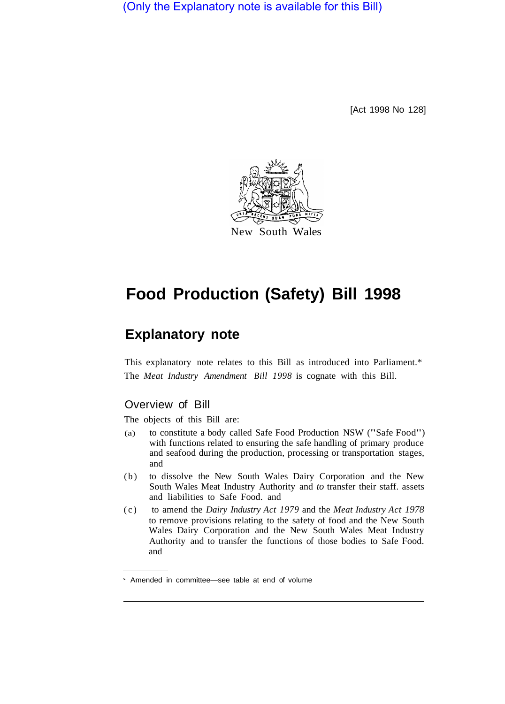(Only the Explanatory note is available for this Bill)

[Act 1998 No 128]



# **Food Production (Safety) Bill 1998**

## **Explanatory note**

This explanatory note relates to this Bill as introduced into Parliament.\* The *Meat Industry Amendment Bill 1998* is cognate with this Bill.

## Overview of Bill

The objects of this Bill are:

- (a) to constitute a body called Safe Food Production NSW ("Safe Food") with functions related to ensuring the safe handling of primary produce and seafood during the production, processing or transportation stages, and
- (b) to dissolve the New South Wales Dairy Corporation and the New South Wales Meat Industry Authority and *to* transfer their staff. assets and liabilities to Safe Food. and
- (c) to amend the *Dairy Industry Act 1979* and the *Meat Industry Act 1978*  to remove provisions relating to the safety of food and the New South Wales Dairy Corporation and the New South Wales Meat Industry Authority and to transfer the functions of those bodies to Safe Food. and

Amended in committee—see table at end of volume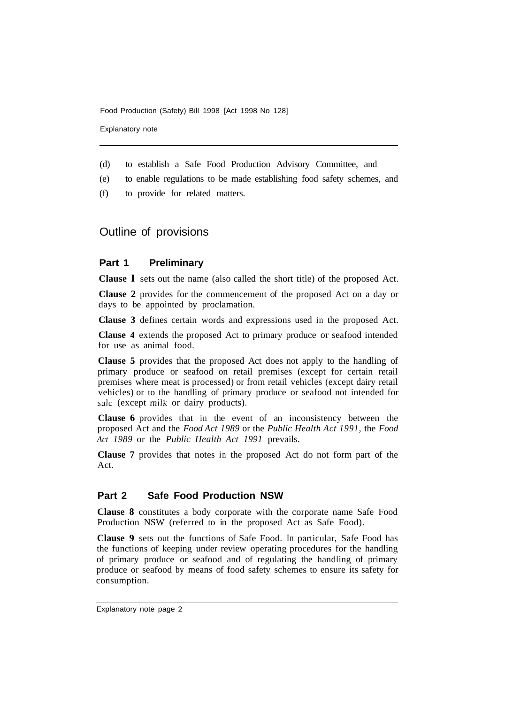Explanatory note

- (d) to establish a Safe Food Production Advisory Committee, and
- (e) to enable reguIations to be made establishing food safety schemes, and
- (f) to provide for related matters.

## Outline of provisions

#### **Part 1 Preliminary**

**Clause l** sets out the name (also called the short title) of the proposed Act.

**Clause 2** provides for the commencement of the proposed Act on a day or days to be appointed by proclamation.

**Clause 3** defines certain words and expressions used in the proposed Act.

**Clause 4** extends the proposed Act to primary produce or seafood intended for use as animal food.

**Clause 5** provides that the proposed Act does not apply to the handling of primary produce or seafood on retail premises (except for certain retail premises where meat is processed) or from retail vehicles (except dairy retail vehicles) or to the handling of primary produce or seafood not intended for sale (except milk or dairy products).

**Clause 6** provides that in the event of an inconsistency between the proposed Act and the *Food Act 1989* or the *Public Health Act 1991,* the *Food Act 1989* or the *Public Health Act 1991* prevails.

**Clause 7** provides that notes in the proposed Act do not form part of the Act.

## **Part 2 Safe Food Production NSW**

**Clause 8** constitutes a body corporate with the corporate name Safe Food Production NSW (referred to in the proposed Act as Safe Food).

**Clause 9** sets out the functions of Safe Food. In particular, Safe Food has the functions of keeping under review operating procedures for the handling of primary produce or seafood and of regulating the handling of primary produce or seafood by means of food safety schemes to ensure its safety for consumption.

Explanatory note page 2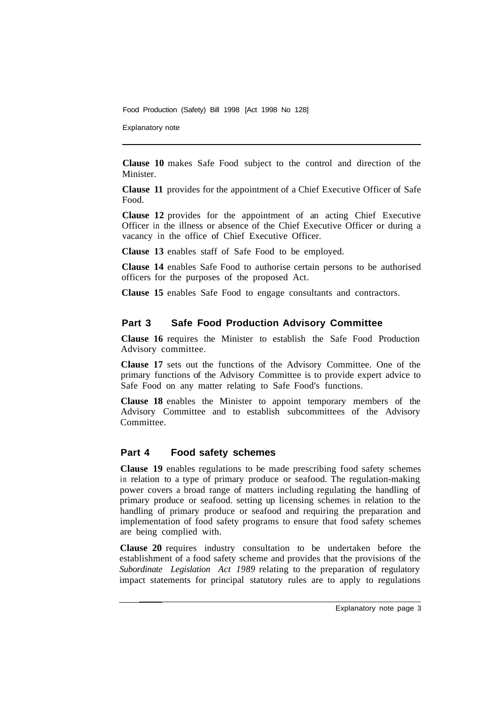Explanatory note

**Clause 10** makes Safe Food subject to the control and direction of the Minister.

**Clause 11** provides for the appointment of a Chief Executive Officer of Safe Food.

**Clause 12** provides for the appointment of an acting Chief Executive Officer in the illness or absence of the Chief Executive Officer or during a vacancy in the office of Chief Executive Officer.

**Clause 13** enables staff of Safe Food to be employed.

**Clause 14** enables Safe Food to authorise certain persons to be authorised officers for the purposes of the proposed Act.

**Clause 15** enables Safe Food to engage consultants and contractors.

## **Part 3 Safe Food Production Advisory Committee**

**Clause 16** requires the Minister to establish the Safe Food Production Advisory committee.

**Clause 17** sets out the functions of the Advisory Committee. One of the primary functions of the Advisory Committee is to provide expert advice to Safe Food on any matter relating to Safe Food's functions.

**Clause 18** enables the Minister to appoint temporary members of the Advisory Committee and to establish subcommittees of the Advisory Committee.

## **Part 4 Food safety schemes**

**Clause 19** enables regulations to be made prescribing food safety schemes in relation to a type of primary produce or seafood. The regulation-making power covers a broad range of matters including regulating the handling of primary produce or seafood. setting up licensing schemes in relation to the handling of primary produce or seafood and requiring the preparation and implementation of food safety programs to ensure that food safety schemes are being complied with.

**Clause 20** requires industry consultation to be undertaken before the establishment of a food safety scheme and provides that the provisions of the *Subordinate Legislation Act 1989* relating to the preparation of regulatory impact statements for principal statutory rules are to apply to regulations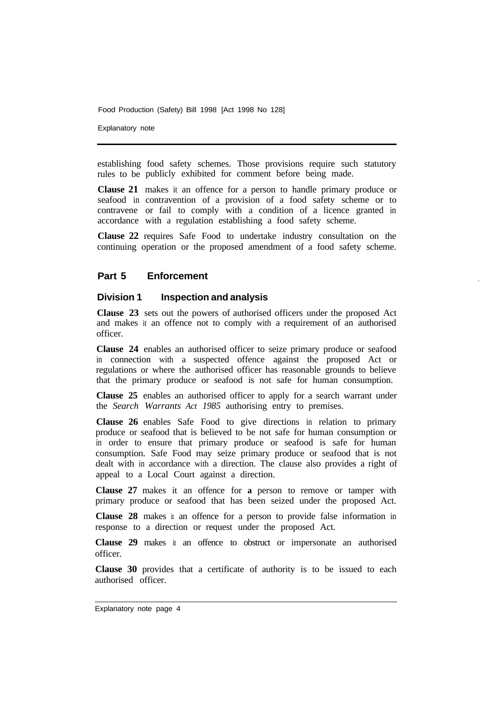Explanatory note

establishing food safety schemes. Those provisions require such statutory rules to be publicly exhibited for comment before being made.

**Clause 21**  makes it an offence for a person to handle primary produce or seafood in contravention of a provision of a food safety scheme or to contravene or fail to comply with a condition of a licence granted in accordance with a regulation establishing a food safety scheme.

**Clause 22**  requires Safe Food to undertake industry consultation on the continuing operation or the proposed amendment of a food safety scheme.

#### **Part 5 Enforcement**

#### **Division 1 Inspection and analysis**

**Clause 23** sets out the powers of authorised officers under the proposed Act and makes it an offence not to comply with a requirement of an authorised officer.

**Clause 24** enables an authorised officer to seize primary produce or seafood in connection with a suspected offence against the proposed Act or regulations or where the authorised officer has reasonable grounds to believe that the primary produce or seafood is not safe for human consumption.

**Clause 25** enables an authorised officer to apply for a search warrant under the *Search Warrants Act 1985* authorising entry to premises.

**Clause 26** enables Safe Food to give directions in relation to primary produce or seafood that is believed to be not safe for human consumption or in order to ensure that primary produce or seafood is safe for human consumption. Safe Food may seize primary produce or seafood that is not dealt with in accordance with a direction. The clause also provides a right of appeal to a Local Court against a direction.

**Clause 27** makes it an offence for **a** person to remove or tamper with primary produce or seafood that has been seized under the proposed Act.

**Clause 28** makes it an offence for a person to provide false information in response to a direction or request under the proposed Act.

**Clause 29** makes it an offence to obstruct or impersonate an authorised officer.

**Clause 30** provides that a certificate of authority is to be issued to each authorised officer.

Explanatory note page 4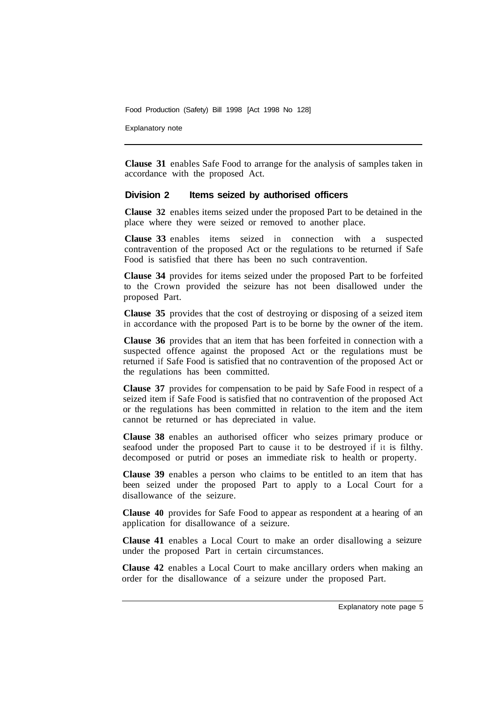Explanatory note

**Clause 31** enables Safe Food to arrange for the analysis of samples taken in accordance with the proposed Act.

#### **Division 2 Items seized by authorised officers**

**Clause 32** enables items seized under the proposed Part to be detained in the place where they were seized or removed to another place.

**Clause 33** enables items seized in connection with a suspected contravention of the proposed Act or the regulations to be returned if Safe Food is satisfied that there has been no such contravention.

**Clause 34** provides for items seized under the proposed Part to be forfeited to the Crown provided the seizure has not been disallowed under the proposed Part.

**Clause 35** provides that the cost of destroying or disposing of a seized item in accordance with the proposed Part is to be borne by the owner of the item.

**Clause 36** provides that an item that has been forfeited in connection with a suspected offence against the proposed Act or the regulations must be returned if Safe Food is satisfied that no contravention of the proposed Act or the regulations has been committed.

**Clause 37** provides for compensation to be paid by Safe Food in respect of a seized item if Safe Food is satisfied that no contravention of the proposed Act or the regulations has been committed in relation to the item and the item cannot be returned or has depreciated in value.

**Clause 38** enables an authorised officer who seizes primary produce or seafood under the proposed Part to cause it to be destroyed if it is filthy. decomposed or putrid or poses an immediate risk to health or property.

**Clause 39** enables a person who claims to be entitled to an item that has been seized under the proposed Part to apply to a Local Court for a disallowance of the seizure.

**Clause 40** provides for Safe Food to appear as respondent at a hearing of an application for disallowance of a seizure.

**Clause 41** enables a Local Court to make an order disallowing a seizure under the proposed Part in certain circumstances.

**Clause 42** enables a Local Court to make ancillary orders when making an order for the disallowance of a seizure under the proposed Part.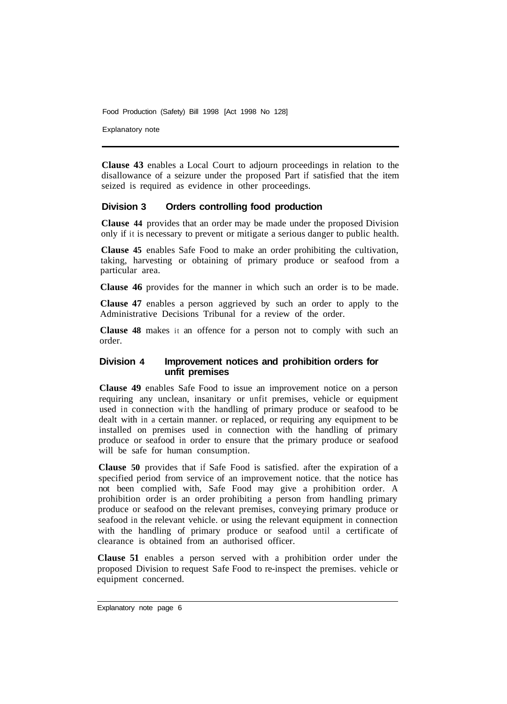Explanatory note

**Clause 43** enables a Local Court to adjourn proceedings in relation to the disallowance of a seizure under the proposed Part if satisfied that the item seized is required as evidence in other proceedings.

## **Division 3 Orders controlling food production**

**Clause 44** provides that an order may be made under the proposed Division only if it is necessary to prevent or mitigate a serious danger to public health.

**Clause 45** enables Safe Food to make an order prohibiting the cultivation, taking, harvesting or obtaining of primary produce or seafood from a particular area.

**Clause 46** provides for the manner in which such an order is to be made.

**Clause 47** enables a person aggrieved by such an order to apply to the Administrative Decisions Tribunal for a review of the order.

**Clause 48** makes it an offence for a person not to comply with such an order.

#### **Division 4 Improvement notices and prohibition orders for unfit premises**

**Clause 49** enables Safe Food to issue an improvement notice on a person requiring any unclean, insanitary or unfit premises, vehicle or equipment used in connection with the handling of primary produce or seafood to be dealt with in a certain manner. or replaced, or requiring any equipment to be installed on premises used in connection with the handling of primary produce or seafood in order to ensure that the primary produce or seafood will be safe for human consumption.

**Clause 50** provides that if Safe Food is satisfied. after the expiration of a specified period from service of an improvement notice. that the notice has not been complied with, Safe Food may give a prohibition order. A prohibition order is an order prohibiting a person from handling primary produce or seafood on the relevant premises, conveying primary produce or seafood in the relevant vehicle. or using the relevant equipment in connection with the handling of primary produce or seafood until a certificate of clearance is obtained from an authorised officer.

**Clause 51** enables a person served with a prohibition order under the proposed Division to request Safe Food to re-inspect the premises. vehicle or equipment concerned.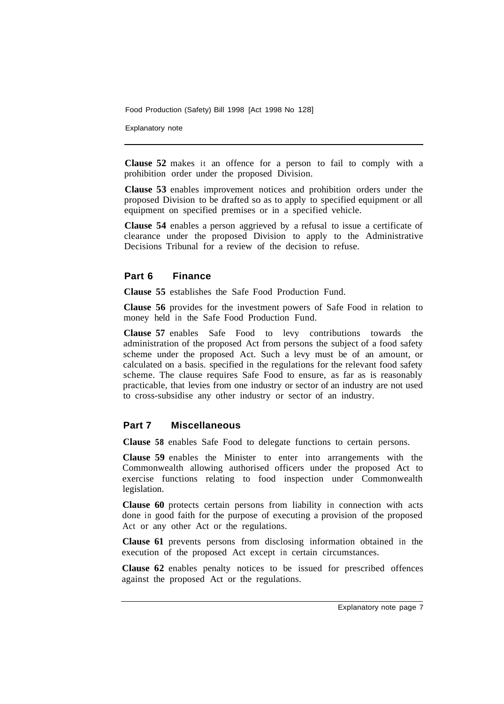Explanatory note

**Clause 52** makes it an offence for a person to fail to comply with a prohibition order under the proposed Division.

**Clause 53** enables improvement notices and prohibition orders under the proposed Division to be drafted so as to apply to specified equipment or all equipment on specified premises or in a specified vehicle.

**Clause 54** enables a person aggrieved by a refusal to issue a certificate of clearance under the proposed Division to apply to the Administrative Decisions Tribunal for a review of the decision to refuse.

#### **Part 6 Finance**

**Clause 55** establishes the Safe Food Production Fund.

**Clause 56** provides for the investment powers of Safe Food in relation to money held in the Safe Food Production Fund.

**Clause 57** enables Safe Food to levy contributions towards the administration of the proposed Act from persons the subject of a food safety scheme under the proposed Act. Such a levy must be of an amount, or calculated on a basis. specified in the regulations for the relevant food safety scheme. The clause requires Safe Food to ensure, as far as is reasonably practicable, that levies from one industry or sector of an industry are not used to cross-subsidise any other industry or sector of an industry.

#### **Part 7 Miscellaneous**

**Clause 58** enables Safe Food to delegate functions to certain persons.

**Clause 59** enables the Minister to enter into arrangements with the Commonwealth allowing authorised officers under the proposed Act to exercise functions relating to food inspection under Commonwealth legislation.

**Clause 60** protects certain persons from liability in connection with acts done in good faith for the purpose of executing a provision of the proposed Act or any other Act or the regulations.

**Clause 61** prevents persons from disclosing information obtained in the execution of the proposed Act except in certain circumstances.

**Clause 62** enables penalty notices to be issued for prescribed offences against the proposed Act or the regulations.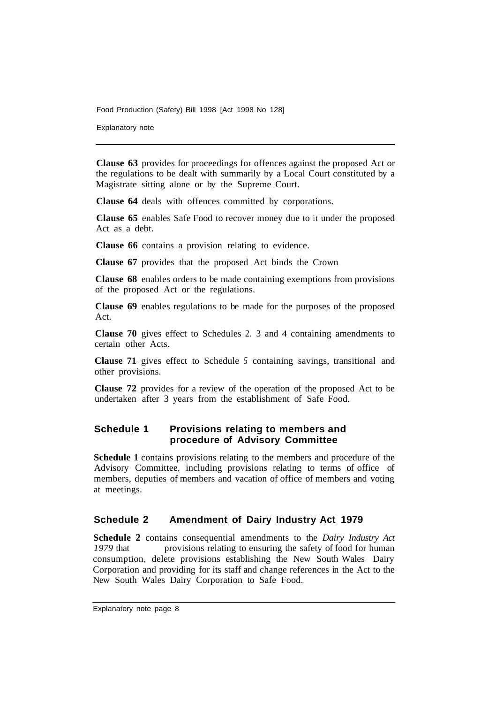Explanatory note

**Clause 63** provides for proceedings for offences against the proposed Act or the regulations to be dealt with summarily by a Local Court constituted by a Magistrate sitting alone or by the Supreme Court.

**Clause 64** deals with offences committed by corporations.

**Clause 65** enables Safe Food to recover money due to it under the proposed Act as a debt.

**Clause 66** contains a provision relating to evidence.

**Clause 67** provides that the proposed Act binds the Crown

**Clause 68** enables orders to be made containing exemptions from provisions of the proposed Act or the regulations.

**Clause 69** enables regulations to be made for the purposes of the proposed Act.

**Clause 70** gives effect to Schedules 2. 3 and 4 containing amendments to certain other Acts.

**Clause 71** gives effect to Schedule *5* containing savings, transitional and other provisions.

**Clause 72** provides for a review of the operation of the proposed Act to be undertaken after 3 years from the establishment of Safe Food.

## **Schedule 1 Provisions relating to members and procedure of Advisory Committee**

**Schedule 1** contains provisions relating to the members and procedure of the Advisory Committee, including provisions relating to terms of office of members, deputies of members and vacation of office of members and voting at meetings.

## **Schedule 2 Amendment of Dairy Industry Act 1979**

**Schedule 2** contains consequential amendments to the *Dairy Industry Act*  1979 that remove provisions relating to ensuring the safety of food for human consumption, delete provisions establishing the New South Wales Dairy Corporation and providing for its staff and change references in the Act to the New South Wales Dairy Corporation to Safe Food.

Explanatory note page 8